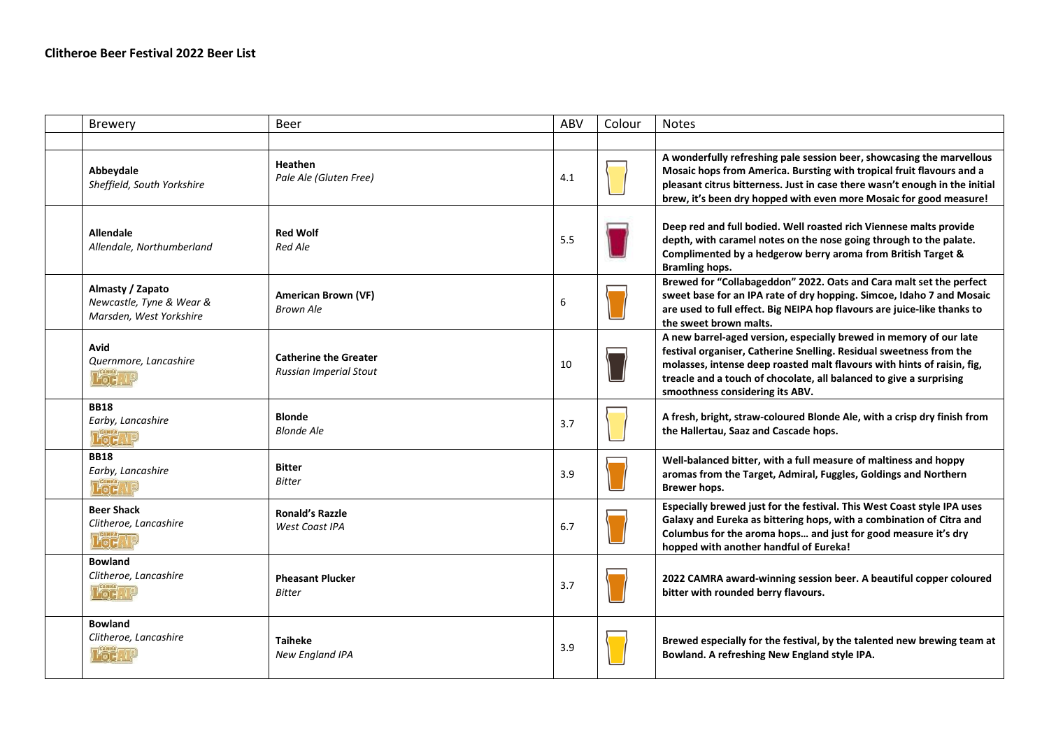| Brewery                                                                 | Beer                                                          | <b>ABV</b> | Colour | <b>Notes</b>                                                                                                                                                                                                                                                                                                                   |
|-------------------------------------------------------------------------|---------------------------------------------------------------|------------|--------|--------------------------------------------------------------------------------------------------------------------------------------------------------------------------------------------------------------------------------------------------------------------------------------------------------------------------------|
|                                                                         |                                                               |            |        |                                                                                                                                                                                                                                                                                                                                |
| Abbeydale<br>Sheffield, South Yorkshire                                 | <b>Heathen</b><br>Pale Ale (Gluten Free)                      | 4.1        |        | A wonderfully refreshing pale session beer, showcasing the marvellous<br>Mosaic hops from America. Bursting with tropical fruit flavours and a<br>pleasant citrus bitterness. Just in case there wasn't enough in the initial<br>brew, it's been dry hopped with even more Mosaic for good measure!                            |
| <b>Allendale</b><br>Allendale, Northumberland                           | <b>Red Wolf</b><br><b>Red Ale</b>                             | 5.5        |        | Deep red and full bodied. Well roasted rich Viennese malts provide<br>depth, with caramel notes on the nose going through to the palate.<br>Complimented by a hedgerow berry aroma from British Target &<br><b>Bramling hops.</b>                                                                                              |
| Almasty / Zapato<br>Newcastle, Tyne & Wear &<br>Marsden, West Yorkshire | American Brown (VF)<br>Brown Ale                              | 6          |        | Brewed for "Collabageddon" 2022. Oats and Cara malt set the perfect<br>sweet base for an IPA rate of dry hopping. Simcoe, Idaho 7 and Mosaic<br>are used to full effect. Big NEIPA hop flavours are juice-like thanks to<br>the sweet brown malts.                                                                             |
| Avid<br>Quernmore, Lancashire<br><b>Poet le</b>                         | <b>Catherine the Greater</b><br><b>Russian Imperial Stout</b> | 10         |        | A new barrel-aged version, especially brewed in memory of our late<br>festival organiser, Catherine Snelling. Residual sweetness from the<br>molasses, intense deep roasted malt flavours with hints of raisin, fig,<br>treacle and a touch of chocolate, all balanced to give a surprising<br>smoothness considering its ABV. |
| <b>BB18</b><br>Earby, Lancashire<br><b>PocA!</b>                        | <b>Blonde</b><br><b>Blonde Ale</b>                            | 3.7        |        | A fresh, bright, straw-coloured Blonde Ale, with a crisp dry finish from<br>the Hallertau, Saaz and Cascade hops.                                                                                                                                                                                                              |
| <b>BB18</b><br>Earby, Lancashire<br><b>Föd AP</b>                       | <b>Bitter</b><br><b>Bitter</b>                                | 3.9        |        | Well-balanced bitter, with a full measure of maltiness and hoppy<br>aromas from the Target, Admiral, Fuggles, Goldings and Northern<br>Brewer hops.                                                                                                                                                                            |
| <b>Beer Shack</b><br>Clitheroe, Lancashire<br><b>L'oc.ve</b>            | <b>Ronald's Razzle</b><br>West Coast IPA                      | 6.7        |        | Especially brewed just for the festival. This West Coast style IPA uses<br>Galaxy and Eureka as bittering hops, with a combination of Citra and<br>Columbus for the aroma hops and just for good measure it's dry<br>hopped with another handful of Eureka!                                                                    |
| <b>Bowland</b><br>Clitheroe, Lancashire<br><b>Local</b>                 | <b>Pheasant Plucker</b><br><b>Bitter</b>                      | 3.7        |        | 2022 CAMRA award-winning session beer. A beautiful copper coloured<br>bitter with rounded berry flavours.                                                                                                                                                                                                                      |
| <b>Bowland</b><br>Clitheroe, Lancashire<br><b>Foc</b> 1                 | <b>Taiheke</b><br><b>New England IPA</b>                      | 3.9        |        | Brewed especially for the festival, by the talented new brewing team at<br>Bowland. A refreshing New England style IPA.                                                                                                                                                                                                        |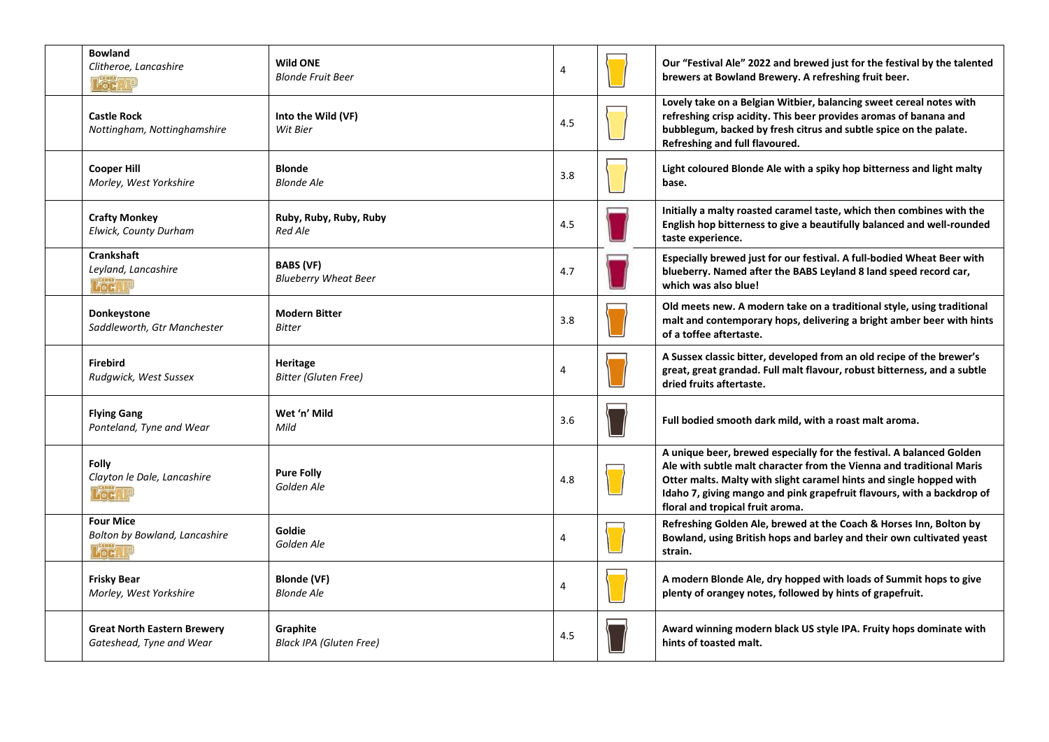| <b>Bowland</b><br>Clitheroe, Lancashire<br><b>Pod. U</b>       | <b>Wild ONE</b><br><b>Blonde Fruit Beer</b>     | 4   | Our "Festival Ale" 2022 and brewed just for the festival by the talented<br>brewers at Bowland Brewery. A refreshing fruit beer.                                                                                                                                                                                                  |
|----------------------------------------------------------------|-------------------------------------------------|-----|-----------------------------------------------------------------------------------------------------------------------------------------------------------------------------------------------------------------------------------------------------------------------------------------------------------------------------------|
| <b>Castle Rock</b><br>Nottingham, Nottinghamshire              | Into the Wild (VF)<br>Wit Bier                  | 4.5 | Lovely take on a Belgian Witbier, balancing sweet cereal notes with<br>refreshing crisp acidity. This beer provides aromas of banana and<br>bubblegum, backed by fresh citrus and subtle spice on the palate.<br>Refreshing and full flavoured.                                                                                   |
| <b>Cooper Hill</b><br>Morley, West Yorkshire                   | <b>Blonde</b><br><b>Blonde Ale</b>              | 3.8 | Light coloured Blonde Ale with a spiky hop bitterness and light malty<br>base.                                                                                                                                                                                                                                                    |
| <b>Crafty Monkey</b><br>Elwick, County Durham                  | Ruby, Ruby, Ruby, Ruby<br>Red Ale               | 4.5 | Initially a malty roasted caramel taste, which then combines with the<br>English hop bitterness to give a beautifully balanced and well-rounded<br>taste experience.                                                                                                                                                              |
| <b>Crankshaft</b><br>Leyland, Lancashire<br><b>Pod, YP</b>     | <b>BABS (VF)</b><br><b>Blueberry Wheat Beer</b> | 4.7 | Especially brewed just for our festival. A full-bodied Wheat Beer with<br>blueberry. Named after the BABS Leyland 8 land speed record car,<br>which was also blue!                                                                                                                                                                |
| Donkeystone<br>Saddleworth, Gtr Manchester                     | <b>Modern Bitter</b><br><b>Bitter</b>           | 3.8 | Old meets new. A modern take on a traditional style, using traditional<br>malt and contemporary hops, delivering a bright amber beer with hints<br>of a toffee aftertaste.                                                                                                                                                        |
| <b>Firebird</b><br>Rudgwick, West Sussex                       | Heritage<br><b>Bitter (Gluten Free)</b>         | 4   | A Sussex classic bitter, developed from an old recipe of the brewer's<br>great, great grandad. Full malt flavour, robust bitterness, and a subtle<br>dried fruits aftertaste.                                                                                                                                                     |
| <b>Flying Gang</b><br>Ponteland, Tyne and Wear                 | Wet 'n' Mild<br>Mild                            | 3.6 | Full bodied smooth dark mild, with a roast malt aroma.                                                                                                                                                                                                                                                                            |
| <b>Folly</b><br>Clayton le Dale, Lancashire<br><b>Pod. 19</b>  | <b>Pure Folly</b><br>Golden Ale                 | 4.8 | A unique beer, brewed especially for the festival. A balanced Golden<br>Ale with subtle malt character from the Vienna and traditional Maris<br>Otter malts. Malty with slight caramel hints and single hopped with<br>Idaho 7, giving mango and pink grapefruit flavours, with a backdrop of<br>floral and tropical fruit aroma. |
| <b>Four Mice</b><br>Bolton by Bowland, Lancashire<br>Pod, 19   | Goldie<br>Golden Ale                            | 4   | Refreshing Golden Ale, brewed at the Coach & Horses Inn, Bolton by<br>Bowland, using British hops and barley and their own cultivated yeast<br>strain.                                                                                                                                                                            |
| <b>Frisky Bear</b><br>Morley, West Yorkshire                   | Blonde (VF)<br><b>Blonde Ale</b>                | 4   | A modern Blonde Ale, dry hopped with loads of Summit hops to give<br>plenty of orangey notes, followed by hints of grapefruit.                                                                                                                                                                                                    |
| <b>Great North Eastern Brewery</b><br>Gateshead, Tyne and Wear | Graphite<br><b>Black IPA (Gluten Free)</b>      | 4.5 | Award winning modern black US style IPA. Fruity hops dominate with<br>hints of toasted malt.                                                                                                                                                                                                                                      |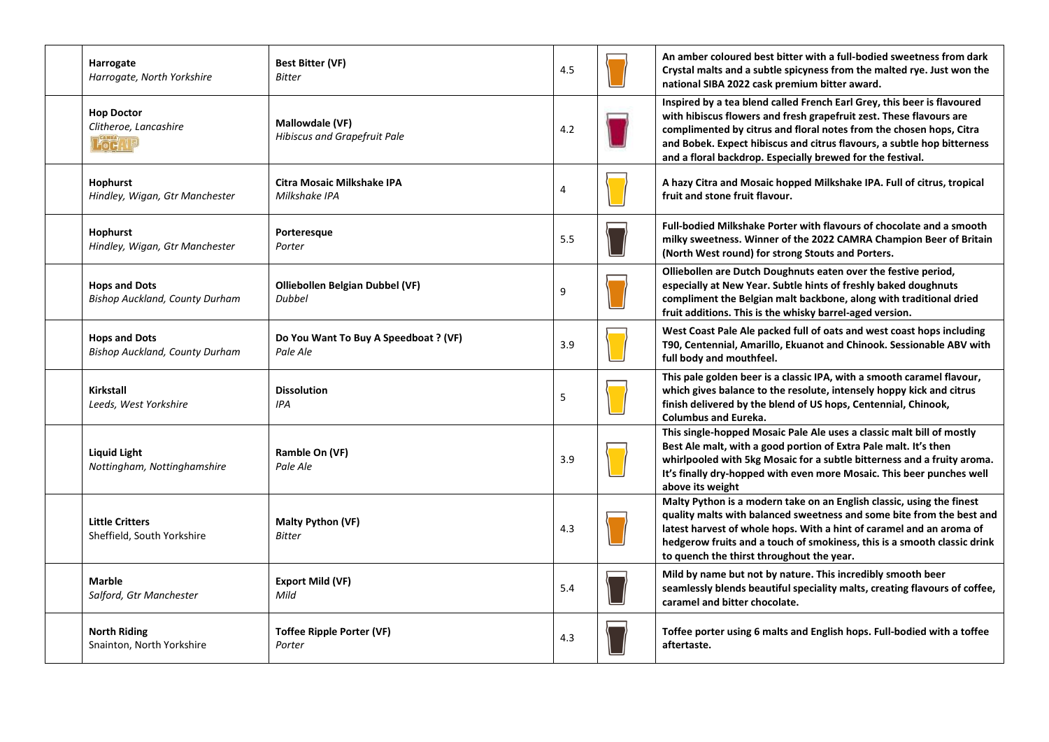| Harrogate<br>Harrogate, North Yorkshire                       | <b>Best Bitter (VF)</b><br><b>Bitter</b>               | 4.5 | An amber coloured best bitter with a full-bodied sweetness from dark<br>Crystal malts and a subtle spicyness from the malted rye. Just won the<br>national SIBA 2022 cask premium bitter award.                                                                                                                                                                |
|---------------------------------------------------------------|--------------------------------------------------------|-----|----------------------------------------------------------------------------------------------------------------------------------------------------------------------------------------------------------------------------------------------------------------------------------------------------------------------------------------------------------------|
| <b>Hop Doctor</b><br>Clitheroe, Lancashire<br><b>Poc</b> , YP | Mallowdale (VF)<br><b>Hibiscus and Grapefruit Pale</b> | 4.2 | Inspired by a tea blend called French Earl Grey, this beer is flavoured<br>with hibiscus flowers and fresh grapefruit zest. These flavours are<br>complimented by citrus and floral notes from the chosen hops, Citra<br>and Bobek. Expect hibiscus and citrus flavours, a subtle hop bitterness<br>and a floral backdrop. Especially brewed for the festival. |
| Hophurst<br>Hindley, Wigan, Gtr Manchester                    | <b>Citra Mosaic Milkshake IPA</b><br>Milkshake IPA     | 4   | A hazy Citra and Mosaic hopped Milkshake IPA. Full of citrus, tropical<br>fruit and stone fruit flavour.                                                                                                                                                                                                                                                       |
| Hophurst<br>Hindley, Wigan, Gtr Manchester                    | Porteresque<br>Porter                                  | 5.5 | <b>Full-bodied Milkshake Porter with flavours of chocolate and a smooth</b><br>milky sweetness. Winner of the 2022 CAMRA Champion Beer of Britain<br>(North West round) for strong Stouts and Porters.                                                                                                                                                         |
| <b>Hops and Dots</b><br><b>Bishop Auckland, County Durham</b> | Olliebollen Belgian Dubbel (VF)<br><b>Dubbel</b>       | 9   | Olliebollen are Dutch Doughnuts eaten over the festive period,<br>especially at New Year. Subtle hints of freshly baked doughnuts<br>compliment the Belgian malt backbone, along with traditional dried<br>fruit additions. This is the whisky barrel-aged version.                                                                                            |
| <b>Hops and Dots</b><br><b>Bishop Auckland, County Durham</b> | Do You Want To Buy A Speedboat ? (VF)<br>Pale Ale      | 3.9 | West Coast Pale Ale packed full of oats and west coast hops including<br>T90, Centennial, Amarillo, Ekuanot and Chinook. Sessionable ABV with<br>full body and mouthfeel.                                                                                                                                                                                      |
| Kirkstall<br>Leeds, West Yorkshire                            | <b>Dissolution</b><br>IPA                              | 5   | This pale golden beer is a classic IPA, with a smooth caramel flavour,<br>which gives balance to the resolute, intensely hoppy kick and citrus<br>finish delivered by the blend of US hops, Centennial, Chinook,<br><b>Columbus and Eureka.</b>                                                                                                                |
| Liquid Light<br>Nottingham, Nottinghamshire                   | Ramble On (VF)<br>Pale Ale                             | 3.9 | This single-hopped Mosaic Pale Ale uses a classic malt bill of mostly<br>Best Ale malt, with a good portion of Extra Pale malt. It's then<br>whirlpooled with 5kg Mosaic for a subtle bitterness and a fruity aroma.<br>It's finally dry-hopped with even more Mosaic. This beer punches well<br>above its weight                                              |
| <b>Little Critters</b><br>Sheffield, South Yorkshire          | <b>Malty Python (VF)</b><br>Bitter                     | 4.3 | Malty Python is a modern take on an English classic, using the finest<br>quality malts with balanced sweetness and some bite from the best and<br>latest harvest of whole hops. With a hint of caramel and an aroma of<br>hedgerow fruits and a touch of smokiness, this is a smooth classic drink<br>to quench the thirst throughout the year.                |
| <b>Marble</b><br>Salford, Gtr Manchester                      | Export Mild (VF)<br>Mild                               | 5.4 | Mild by name but not by nature. This incredibly smooth beer<br>seamlessly blends beautiful speciality malts, creating flavours of coffee,<br>caramel and bitter chocolate.                                                                                                                                                                                     |
| <b>North Riding</b><br>Snainton, North Yorkshire              | <b>Toffee Ripple Porter (VF)</b><br>Porter             | 4.3 | Toffee porter using 6 malts and English hops. Full-bodied with a toffee<br>aftertaste.                                                                                                                                                                                                                                                                         |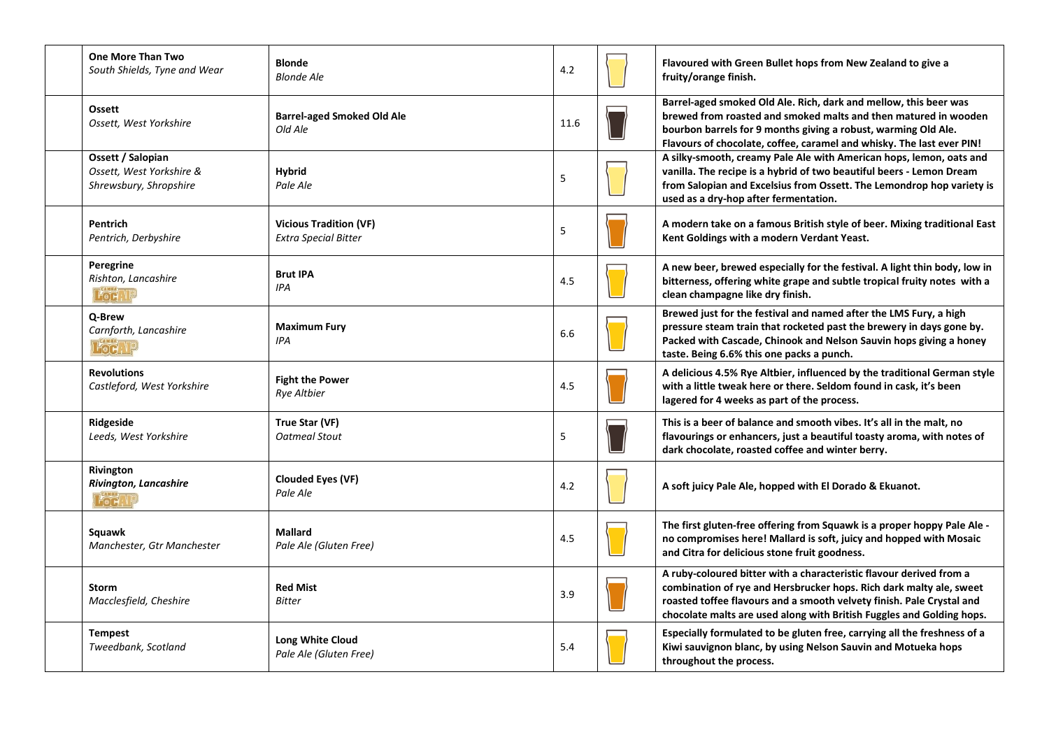| <b>One More Than Two</b><br>South Shields, Tyne and Wear                | <b>Blonde</b><br><b>Blonde Ale</b>                           | 4.2  | Flavoured with Green Bullet hops from New Zealand to give a<br>fruity/orange finish.                                                                                                                                                                                                         |
|-------------------------------------------------------------------------|--------------------------------------------------------------|------|----------------------------------------------------------------------------------------------------------------------------------------------------------------------------------------------------------------------------------------------------------------------------------------------|
| <b>Ossett</b><br>Ossett, West Yorkshire                                 | <b>Barrel-aged Smoked Old Ale</b><br>Old Ale                 | 11.6 | Barrel-aged smoked Old Ale. Rich, dark and mellow, this beer was<br>brewed from roasted and smoked malts and then matured in wooden<br>bourbon barrels for 9 months giving a robust, warming Old Ale.<br>Flavours of chocolate, coffee, caramel and whisky. The last ever PIN!               |
| Ossett / Salopian<br>Ossett, West Yorkshire &<br>Shrewsbury, Shropshire | <b>Hybrid</b><br>Pale Ale                                    | 5    | A silky-smooth, creamy Pale Ale with American hops, lemon, oats and<br>vanilla. The recipe is a hybrid of two beautiful beers - Lemon Dream<br>from Salopian and Excelsius from Ossett. The Lemondrop hop variety is<br>used as a dry-hop after fermentation.                                |
| Pentrich<br>Pentrich, Derbyshire                                        | <b>Vicious Tradition (VF)</b><br><b>Extra Special Bitter</b> | 5    | A modern take on a famous British style of beer. Mixing traditional East<br>Kent Goldings with a modern Verdant Yeast.                                                                                                                                                                       |
| Peregrine<br>Rishton, Lancashire<br><b>Pod</b> : 19                     | <b>Brut IPA</b><br><b>IPA</b>                                | 4.5  | A new beer, brewed especially for the festival. A light thin body, low in<br>bitterness, offering white grape and subtle tropical fruity notes with a<br>clean champagne like dry finish.                                                                                                    |
| Q-Brew<br>Carnforth, Lancashire<br><b>Poetre</b>                        | <b>Maximum Fury</b><br>IPA                                   | 6.6  | Brewed just for the festival and named after the LMS Fury, a high<br>pressure steam train that rocketed past the brewery in days gone by.<br>Packed with Cascade, Chinook and Nelson Sauvin hops giving a honey<br>taste. Being 6.6% this one packs a punch.                                 |
| <b>Revolutions</b><br>Castleford, West Yorkshire                        | <b>Fight the Power</b><br><b>Rye Altbier</b>                 | 4.5  | A delicious 4.5% Rye Altbier, influenced by the traditional German style<br>with a little tweak here or there. Seldom found in cask, it's been<br>lagered for 4 weeks as part of the process.                                                                                                |
| Ridgeside<br>Leeds, West Yorkshire                                      | True Star (VF)<br>Oatmeal Stout                              | 5    | This is a beer of balance and smooth vibes. It's all in the malt, no<br>flavourings or enhancers, just a beautiful toasty aroma, with notes of<br>dark chocolate, roasted coffee and winter berry.                                                                                           |
| Rivington<br>Rivington, Lancashire<br><b>Pod</b> ,                      | <b>Clouded Eyes (VF)</b><br>Pale Ale                         | 4.2  | A soft juicy Pale Ale, hopped with El Dorado & Ekuanot.                                                                                                                                                                                                                                      |
| Squawk<br>Manchester, Gtr Manchester                                    | <b>Mallard</b><br>Pale Ale (Gluten Free)                     | 4.5  | The first gluten-free offering from Squawk is a proper hoppy Pale Ale -<br>no compromises here! Mallard is soft, juicy and hopped with Mosaic<br>and Citra for delicious stone fruit goodness.                                                                                               |
| <b>Storm</b><br>Macclesfield, Cheshire                                  | <b>Red Mist</b><br><b>Bitter</b>                             | 3.9  | A ruby-coloured bitter with a characteristic flavour derived from a<br>combination of rye and Hersbrucker hops. Rich dark malty ale, sweet<br>roasted toffee flavours and a smooth velvety finish. Pale Crystal and<br>chocolate malts are used along with British Fuggles and Golding hops. |
| <b>Tempest</b><br>Tweedbank, Scotland                                   | <b>Long White Cloud</b><br>Pale Ale (Gluten Free)            | 5.4  | Especially formulated to be gluten free, carrying all the freshness of a<br>Kiwi sauvignon blanc, by using Nelson Sauvin and Motueka hops<br>throughout the process.                                                                                                                         |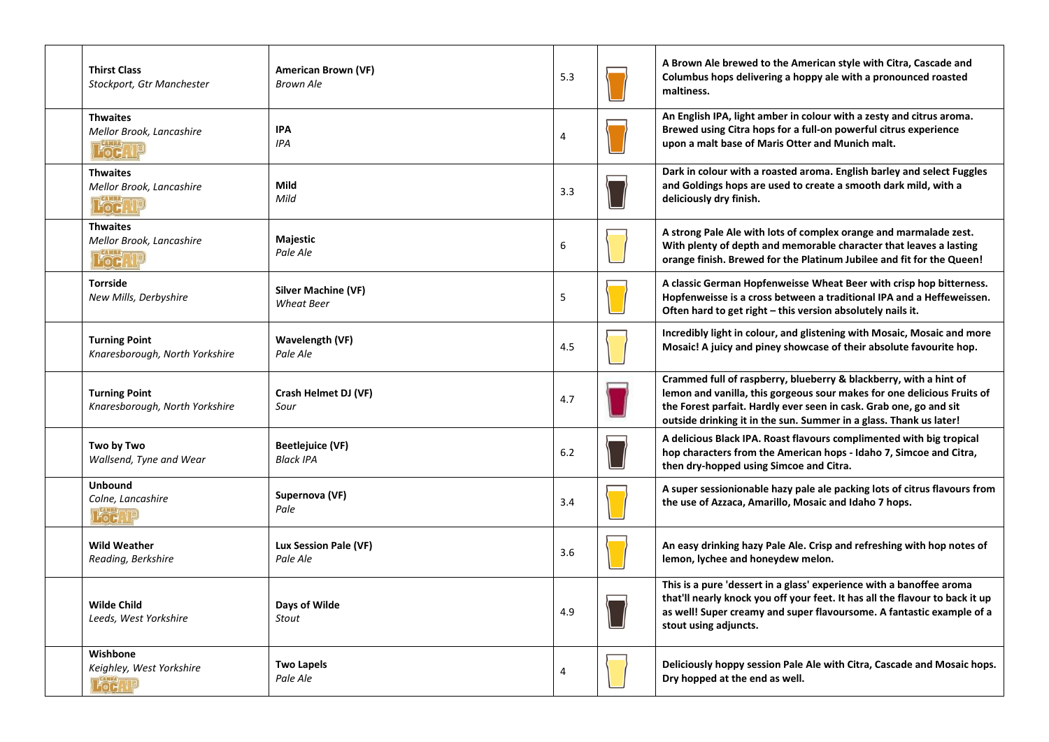| <b>Thirst Class</b><br>Stockport, Gtr Manchester                          | American Brown (VF)<br><b>Brown Ale</b>         | 5.3            | A Brown Ale brewed to the American style with Citra, Cascade and<br>Columbus hops delivering a hoppy ale with a pronounced roasted<br>maltiness.                                                                                                                                         |
|---------------------------------------------------------------------------|-------------------------------------------------|----------------|------------------------------------------------------------------------------------------------------------------------------------------------------------------------------------------------------------------------------------------------------------------------------------------|
| <b>Thwaites</b><br>Mellor Brook, Lancashire<br>Fod. I                     | <b>IPA</b><br>IPA                               | $\overline{4}$ | An English IPA, light amber in colour with a zesty and citrus aroma.<br>Brewed using Citra hops for a full-on powerful citrus experience<br>upon a malt base of Maris Otter and Munich malt.                                                                                             |
| <b>Thwaites</b><br>Mellor Brook, Lancashire<br><b>CAMRA</b><br><b>For</b> | Mild<br>Mild                                    | 3.3            | Dark in colour with a roasted aroma. English barley and select Fuggles<br>and Goldings hops are used to create a smooth dark mild, with a<br>deliciously dry finish.                                                                                                                     |
| <b>Thwaites</b><br>Mellor Brook, Lancashire<br>Foch.                      | Majestic<br>Pale Ale                            | 6              | A strong Pale Ale with lots of complex orange and marmalade zest.<br>With plenty of depth and memorable character that leaves a lasting<br>orange finish. Brewed for the Platinum Jubilee and fit for the Queen!                                                                         |
| <b>Torrside</b><br>New Mills, Derbyshire                                  | <b>Silver Machine (VF)</b><br><b>Wheat Beer</b> | 5              | A classic German Hopfenweisse Wheat Beer with crisp hop bitterness.<br>Hopfenweisse is a cross between a traditional IPA and a Heffeweissen.<br>Often hard to get right – this version absolutely nails it.                                                                              |
| <b>Turning Point</b><br>Knaresborough, North Yorkshire                    | Wavelength (VF)<br>Pale Ale                     | 4.5            | Incredibly light in colour, and glistening with Mosaic, Mosaic and more<br>Mosaic! A juicy and piney showcase of their absolute favourite hop.                                                                                                                                           |
| <b>Turning Point</b><br>Knaresborough, North Yorkshire                    | Crash Helmet DJ (VF)<br>Sour                    | 4.7            | Crammed full of raspberry, blueberry & blackberry, with a hint of<br>lemon and vanilla, this gorgeous sour makes for one delicious Fruits of<br>the Forest parfait. Hardly ever seen in cask. Grab one, go and sit<br>outside drinking it in the sun. Summer in a glass. Thank us later! |
| Two by Two<br>Wallsend, Tyne and Wear                                     | <b>Beetlejuice (VF)</b><br><b>Black IPA</b>     | 6.2            | A delicious Black IPA. Roast flavours complimented with big tropical<br>hop characters from the American hops - Idaho 7, Simcoe and Citra,<br>then dry-hopped using Simcoe and Citra.                                                                                                    |
| <b>Unbound</b><br>Colne, Lancashire<br><b>Pod</b> N                       | Supernova (VF)<br>Pale                          | 3.4            | A super sessionionable hazy pale ale packing lots of citrus flavours from<br>the use of Azzaca, Amarillo, Mosaic and Idaho 7 hops.                                                                                                                                                       |
| <b>Wild Weather</b><br>Reading, Berkshire                                 | Lux Session Pale (VF)<br>Pale Ale               | 3.6            | An easy drinking hazy Pale Ale. Crisp and refreshing with hop notes of<br>lemon, lychee and honeydew melon.                                                                                                                                                                              |
| <b>Wilde Child</b><br>Leeds, West Yorkshire                               | Days of Wilde<br><b>Stout</b>                   | 4.9            | This is a pure 'dessert in a glass' experience with a banoffee aroma<br>that'll nearly knock you off your feet. It has all the flavour to back it up<br>as well! Super creamy and super flavoursome. A fantastic example of a<br>stout using adjuncts.                                   |
| Wishbone<br>Keighley, West Yorkshire<br>Foc T                             | <b>Two Lapels</b><br>Pale Ale                   | 4              | Deliciously hoppy session Pale Ale with Citra, Cascade and Mosaic hops.<br>Dry hopped at the end as well.                                                                                                                                                                                |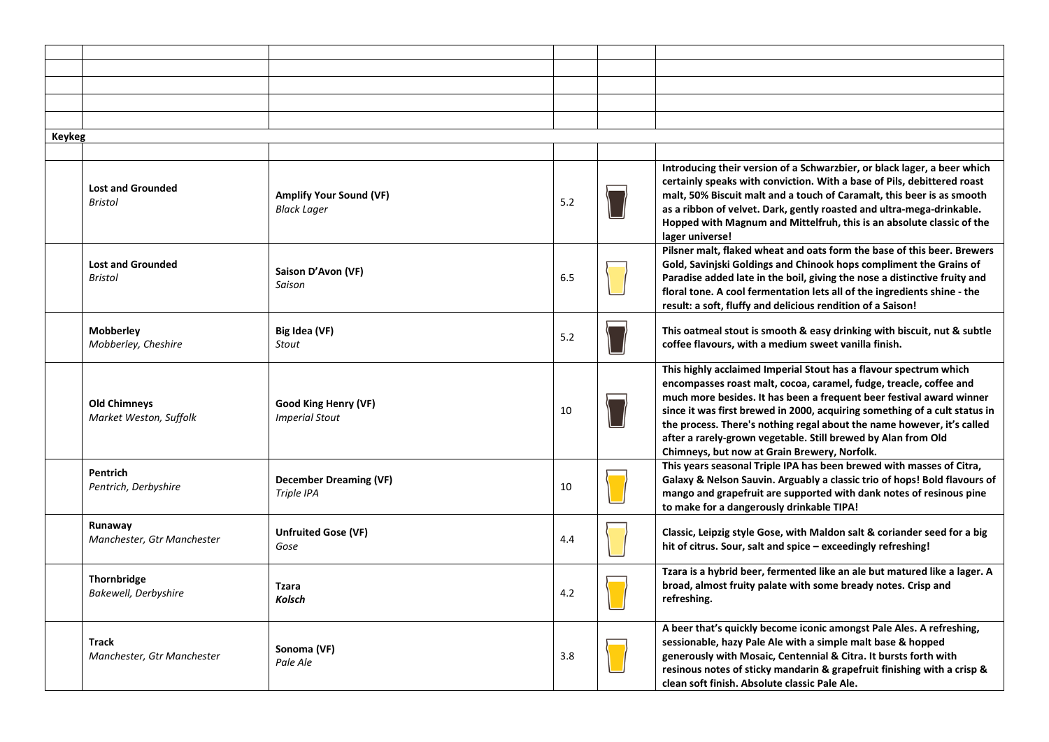| Keykeg |                                               |                                                      |     |                                                                                                                                                                                                                                                                                                                                                                                                                                                                                          |
|--------|-----------------------------------------------|------------------------------------------------------|-----|------------------------------------------------------------------------------------------------------------------------------------------------------------------------------------------------------------------------------------------------------------------------------------------------------------------------------------------------------------------------------------------------------------------------------------------------------------------------------------------|
|        |                                               |                                                      |     |                                                                                                                                                                                                                                                                                                                                                                                                                                                                                          |
|        | <b>Lost and Grounded</b><br><b>Bristol</b>    | <b>Amplify Your Sound (VF)</b><br><b>Black Lager</b> | 5.2 | Introducing their version of a Schwarzbier, or black lager, a beer which<br>certainly speaks with conviction. With a base of Pils, debittered roast<br>malt, 50% Biscuit malt and a touch of Caramalt, this beer is as smooth<br>as a ribbon of velvet. Dark, gently roasted and ultra-mega-drinkable.<br>Hopped with Magnum and Mittelfruh, this is an absolute classic of the<br>lager universe!                                                                                       |
|        | <b>Lost and Grounded</b><br>Bristol           | Saison D'Avon (VF)<br>Saison                         | 6.5 | Pilsner malt, flaked wheat and oats form the base of this beer. Brewers<br>Gold, Savinjski Goldings and Chinook hops compliment the Grains of<br>Paradise added late in the boil, giving the nose a distinctive fruity and<br>floral tone. A cool fermentation lets all of the ingredients shine - the<br>result: a soft, fluffy and delicious rendition of a Saison!                                                                                                                    |
|        | <b>Mobberley</b><br>Mobberley, Cheshire       | Big Idea (VF)<br><b>Stout</b>                        | 5.2 | This oatmeal stout is smooth & easy drinking with biscuit, nut & subtle<br>coffee flavours, with a medium sweet vanilla finish.                                                                                                                                                                                                                                                                                                                                                          |
|        | <b>Old Chimneys</b><br>Market Weston, Suffolk | Good King Henry (VF)<br><b>Imperial Stout</b>        | 10  | This highly acclaimed Imperial Stout has a flavour spectrum which<br>encompasses roast malt, cocoa, caramel, fudge, treacle, coffee and<br>much more besides. It has been a frequent beer festival award winner<br>since it was first brewed in 2000, acquiring something of a cult status in<br>the process. There's nothing regal about the name however, it's called<br>after a rarely-grown vegetable. Still brewed by Alan from Old<br>Chimneys, but now at Grain Brewery, Norfolk. |
|        | <b>Pentrich</b><br>Pentrich, Derbyshire       | <b>December Dreaming (VF)</b><br>Triple IPA          | 10  | This years seasonal Triple IPA has been brewed with masses of Citra,<br>Galaxy & Nelson Sauvin. Arguably a classic trio of hops! Bold flavours of<br>mango and grapefruit are supported with dank notes of resinous pine<br>to make for a dangerously drinkable TIPA!                                                                                                                                                                                                                    |
|        | Runaway<br>Manchester, Gtr Manchester         | <b>Unfruited Gose (VF)</b><br>Gose                   | 4.4 | Classic, Leipzig style Gose, with Maldon salt & coriander seed for a big<br>hit of citrus. Sour, salt and spice - exceedingly refreshing!                                                                                                                                                                                                                                                                                                                                                |
|        | <b>Thornbridge</b><br>Bakewell, Derbyshire    | <b>Tzara</b><br>Kolsch                               | 4.2 | Tzara is a hybrid beer, fermented like an ale but matured like a lager. A<br>broad, almost fruity palate with some bready notes. Crisp and<br>refreshing.                                                                                                                                                                                                                                                                                                                                |
|        | <b>Track</b><br>Manchester, Gtr Manchester    | Sonoma (VF)<br>Pale Ale                              | 3.8 | A beer that's quickly become iconic amongst Pale Ales. A refreshing,<br>sessionable, hazy Pale Ale with a simple malt base & hopped<br>generously with Mosaic, Centennial & Citra. It bursts forth with<br>resinous notes of sticky mandarin & grapefruit finishing with a crisp &<br>clean soft finish. Absolute classic Pale Ale.                                                                                                                                                      |